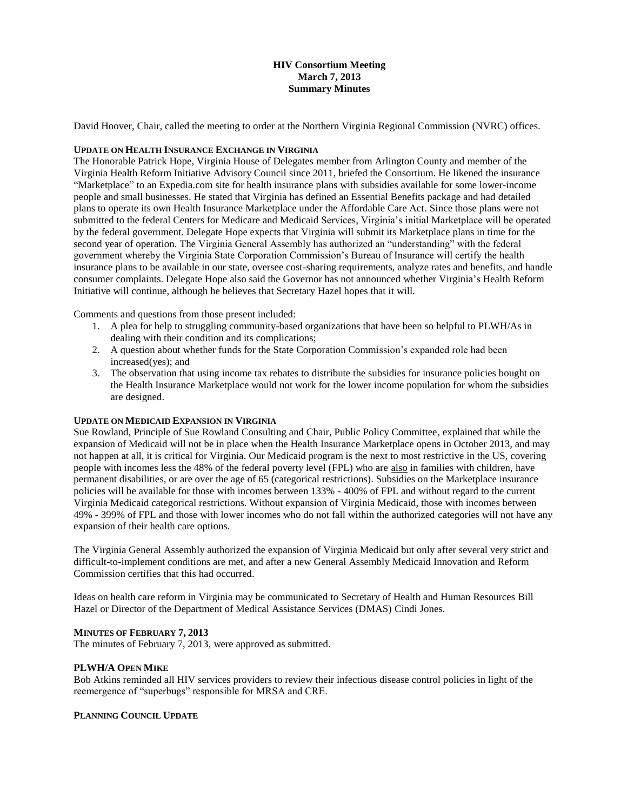# **HIV Consortium Meeting March 7, 2013 Summary Minutes**

David Hoover, Chair, called the meeting to order at the Northern Virginia Regional Commission (NVRC) offices.

#### **UPDATE ON HEALTH INSURANCE EXCHANGE IN VIRGINIA**

The Honorable Patrick Hope, Virginia House of Delegates member from Arlington County and member of the Virginia Health Reform Initiative Advisory Council since 2011, briefed the Consortium. He likened the insurance "Marketplace" to an Expedia.com site for health insurance plans with subsidies available for some lower-income people and small businesses. He stated that Virginia has defined an Essential Benefits package and had detailed plans to operate its own Health Insurance Marketplace under the Affordable Care Act. Since those plans were not submitted to the federal Centers for Medicare and Medicaid Services, Virginia's initial Marketplace will be operated by the federal government. Delegate Hope expects that Virginia will submit its Marketplace plans in time for the second year of operation. The Virginia General Assembly has authorized an "understanding" with the federal government whereby the Virginia State Corporation Commission's Bureau of Insurance will certify the health insurance plans to be available in our state, oversee cost-sharing requirements, analyze rates and benefits, and handle consumer complaints. Delegate Hope also said the Governor has not announced whether Virginia's Health Reform Initiative will continue, although he believes that Secretary Hazel hopes that it will.

Comments and questions from those present included:

- 1. A plea for help to struggling community-based organizations that have been so helpful to PLWH/As in dealing with their condition and its complications;
- 2. A question about whether funds for the State Corporation Commission's expanded role had been increased(yes); and
- 3. The observation that using income tax rebates to distribute the subsidies for insurance policies bought on the Health Insurance Marketplace would not work for the lower income population for whom the subsidies are designed.

## **UPDATE ON MEDICAID EXPANSION IN VIRGINIA**

Sue Rowland, Principle of Sue Rowland Consulting and Chair, Public Policy Committee, explained that while the expansion of Medicaid will not be in place when the Health Insurance Marketplace opens in October 2013, and may not happen at all, it is critical for Virginia. Our Medicaid program is the next to most restrictive in the US, covering people with incomes less the 48% of the federal poverty level (FPL) who are also in families with children, have permanent disabilities, or are over the age of 65 (categorical restrictions). Subsidies on the Marketplace insurance policies will be available for those with incomes between 133% - 400% of FPL and without regard to the current Virginia Medicaid categorical restrictions. Without expansion of Virginia Medicaid, those with incomes between 49% - 399% of FPL and those with lower incomes who do not fall within the authorized categories will not have any expansion of their health care options.

The Virginia General Assembly authorized the expansion of Virginia Medicaid but only after several very strict and difficult-to-implement conditions are met, and after a new General Assembly Medicaid Innovation and Reform Commission certifies that this had occurred.

Ideas on health care reform in Virginia may be communicated to Secretary of Health and Human Resources Bill Hazel or Director of the Department of Medical Assistance Services (DMAS) Cindi Jones.

## **MINUTES OF FEBRUARY 7, 2013**

The minutes of February 7, 2013, were approved as submitted.

## **PLWH/A OPEN MIKE**

Bob Atkins reminded all HIV services providers to review their infectious disease control policies in light of the reemergence of "superbugs" responsible for MRSA and CRE.

## **PLANNING COUNCIL UPDATE**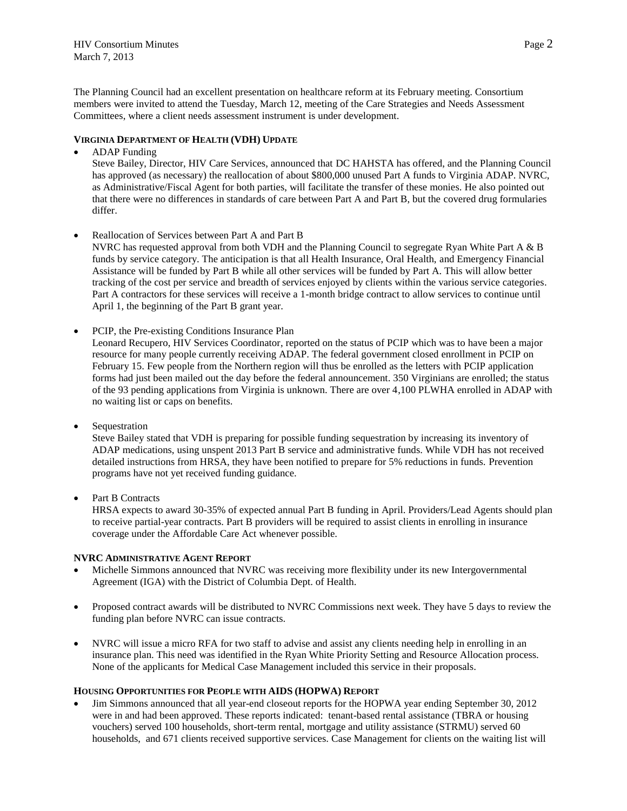HIV Consortium Minutes **Page 2** March 7, 2013

The Planning Council had an excellent presentation on healthcare reform at its February meeting. Consortium members were invited to attend the Tuesday, March 12, meeting of the Care Strategies and Needs Assessment Committees, where a client needs assessment instrument is under development.

## **VIRGINIA DEPARTMENT OF HEALTH (VDH) UPDATE**

ADAP Funding

Steve Bailey, Director, HIV Care Services, announced that DC HAHSTA has offered, and the Planning Council has approved (as necessary) the reallocation of about \$800,000 unused Part A funds to Virginia ADAP. NVRC, as Administrative/Fiscal Agent for both parties, will facilitate the transfer of these monies. He also pointed out that there were no differences in standards of care between Part A and Part B, but the covered drug formularies differ.

Reallocation of Services between Part A and Part B

NVRC has requested approval from both VDH and the Planning Council to segregate Ryan White Part A & B funds by service category. The anticipation is that all Health Insurance, Oral Health, and Emergency Financial Assistance will be funded by Part B while all other services will be funded by Part A. This will allow better tracking of the cost per service and breadth of services enjoyed by clients within the various service categories. Part A contractors for these services will receive a 1-month bridge contract to allow services to continue until April 1, the beginning of the Part B grant year.

PCIP, the Pre-existing Conditions Insurance Plan

Leonard Recupero, HIV Services Coordinator, reported on the status of PCIP which was to have been a major resource for many people currently receiving ADAP. The federal government closed enrollment in PCIP on February 15. Few people from the Northern region will thus be enrolled as the letters with PCIP application forms had just been mailed out the day before the federal announcement. 350 Virginians are enrolled; the status of the 93 pending applications from Virginia is unknown. There are over 4,100 PLWHA enrolled in ADAP with no waiting list or caps on benefits.

Sequestration

Steve Bailey stated that VDH is preparing for possible funding sequestration by increasing its inventory of ADAP medications, using unspent 2013 Part B service and administrative funds. While VDH has not received detailed instructions from HRSA, they have been notified to prepare for 5% reductions in funds. Prevention programs have not yet received funding guidance.

Part B Contracts

HRSA expects to award 30-35% of expected annual Part B funding in April. Providers/Lead Agents should plan to receive partial-year contracts. Part B providers will be required to assist clients in enrolling in insurance coverage under the Affordable Care Act whenever possible.

#### **NVRC ADMINISTRATIVE AGENT REPORT**

- Michelle Simmons announced that NVRC was receiving more flexibility under its new Intergovernmental Agreement (IGA) with the District of Columbia Dept. of Health.
- Proposed contract awards will be distributed to NVRC Commissions next week. They have 5 days to review the funding plan before NVRC can issue contracts.
- NVRC will issue a micro RFA for two staff to advise and assist any clients needing help in enrolling in an insurance plan. This need was identified in the Ryan White Priority Setting and Resource Allocation process. None of the applicants for Medical Case Management included this service in their proposals.

#### **HOUSING OPPORTUNITIES FOR PEOPLE WITH AIDS (HOPWA) REPORT**

 Jim Simmons announced that all year-end closeout reports for the HOPWA year ending September 30, 2012 were in and had been approved. These reports indicated: tenant-based rental assistance (TBRA or housing vouchers) served 100 households, short-term rental, mortgage and utility assistance (STRMU) served 60 households, and 671 clients received supportive services. Case Management for clients on the waiting list will